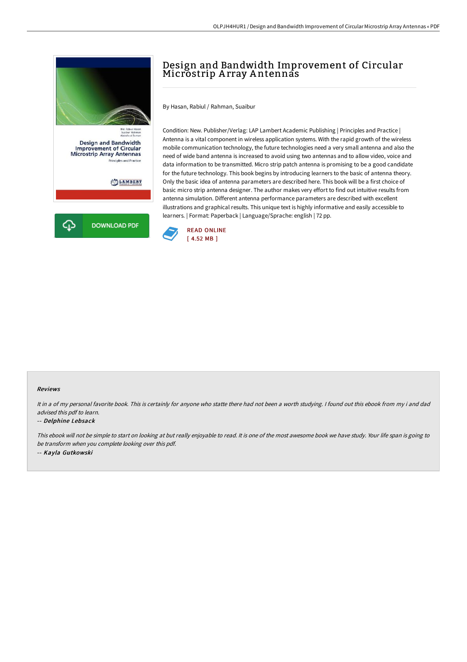



# Design and Bandwidth Improvement of Circular Microstrip Array Antennas

By Hasan, Rabiul / Rahman, Suaibur

Condition: New. Publisher/Verlag: LAP Lambert Academic Publishing | Principles and Practice | Antenna is a vital component in wireless application systems. With the rapid growth of the wireless mobile communication technology, the future technologies need a very small antenna and also the need of wide band antenna is increased to avoid using two antennas and to allow video, voice and data information to be transmitted. Micro strip patch antenna is promising to be a good candidate for the future technology. This book begins by introducing learners to the basic of antenna theory. Only the basic idea of antenna parameters are described here. This book will be a first choice of basic micro strip antenna designer. The author makes very effort to find out intuitive results from antenna simulation. Different antenna performance parameters are described with excellent illustrations and graphical results. This unique text is highly informative and easily accessible to learners. | Format: Paperback | Language/Sprache: english | 72 pp.



### Reviews

It in a of my personal favorite book. This is certainly for anyone who statte there had not been a worth studying. I found out this ebook from my i and dad advised this pdf to learn.

#### -- Delphine Lebsack

This ebook will not be simple to start on looking at but really enjoyable to read. It is one of the most awesome book we have study. Your life span is going to be transform when you complete looking over this pdf. -- Kayla Gutkowski